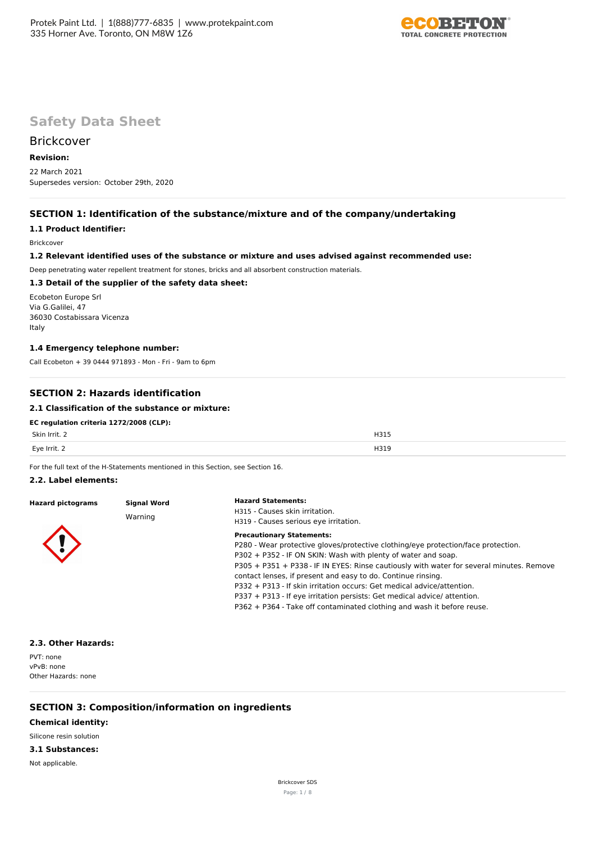

# **Safety Data Sheet**

## **Brickcover**

## **Revision:**

22 March 2021 Supersedes version: October 29th, 2020

## **SECTION 1: Identification of the substance/mixture and of the company/undertaking**

## **1.1 Product Identifier:**

Brickcover

### **1.2 Relevant identified uses of the substance or mixture and uses advised against recommended use:**

Deep penetrating water repellent treatment for stones, bricks and all absorbent construction materials.

## **1.3 Detail of the supplier of the safety data sheet:**

Ecobeton Europe Srl Via G.Galilei, 47 36030 Costabissara Vicenza Italy

### **1.4 Emergency telephone number:**

Call Ecobeton + 39 0444 971893 - Mon - Fri - 9am to 6pm

## **SECTION 2: Hazards identification**

## **2.1 Classification of the substance or mixture:**

## **EC regulation criteria 1272/2008 (CLP):**

| Skin Irrit.                                                                                                     | H315                                 |
|-----------------------------------------------------------------------------------------------------------------|--------------------------------------|
| the contract of the contract of the contract of the contract of the contract of the contract of the contract of | $\cdot$ $\cdot$ $\sim$ $\sim$ $\sim$ |
| Eye Irrit. 2                                                                                                    | H319                                 |

For the full text of the H-Statements mentioned in this Section, see Section 16.

#### **2.2. Label elements:**

| <b>Hazard pictograms</b> | <b>Signal Word</b> | <b>Hazard Statements:</b>                                                                |  |  |  |
|--------------------------|--------------------|------------------------------------------------------------------------------------------|--|--|--|
|                          |                    | H315 - Causes skin irritation.                                                           |  |  |  |
|                          | Warning            | H319 - Causes serious eye irritation.                                                    |  |  |  |
|                          |                    | <b>Precautionary Statements:</b>                                                         |  |  |  |
|                          |                    | P280 - Wear protective gloves/protective clothing/eye protection/face protection.        |  |  |  |
|                          |                    | P302 + P352 - IF ON SKIN: Wash with plenty of water and soap.                            |  |  |  |
|                          |                    | P305 + P351 + P338 - IF IN EYES: Rinse cautiously with water for several minutes. Remove |  |  |  |
|                          |                    | contact lenses, if present and easy to do. Continue rinsing.                             |  |  |  |
|                          |                    | P332 + P313 - If skin irritation occurs: Get medical advice/attention.                   |  |  |  |
|                          |                    | P337 + P313 - If eye irritation persists: Get medical advice/ attention.                 |  |  |  |
|                          |                    | P362 + P364 - Take off contaminated clothing and wash it before reuse.                   |  |  |  |

#### **2.3. Other Hazards:**

PVT: none vPvB: none Other Hazards: none

## **SECTION 3: Composition/information on ingredients**

## **Chemical identity:**

## Silicone resin solution

### **3.1 Substances:**

Not applicable.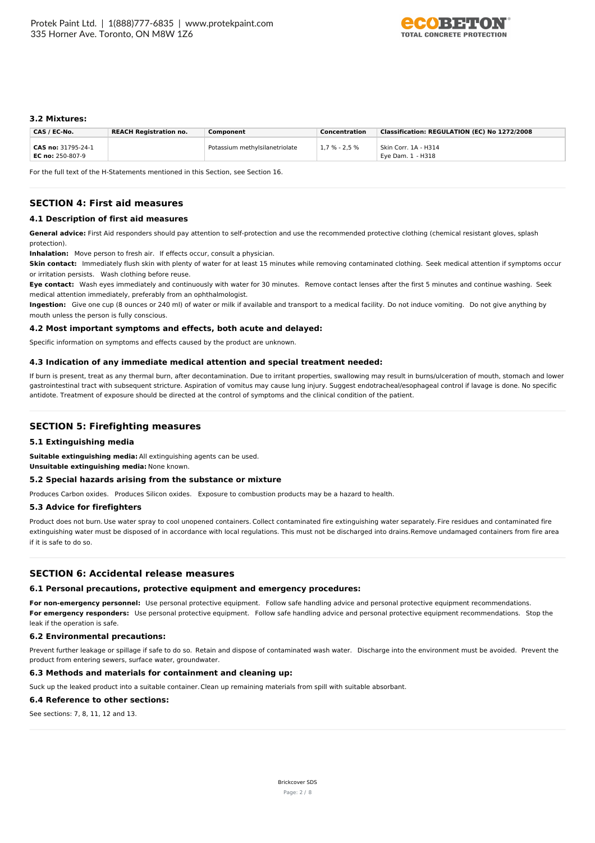

### **3.2 Mixtures:**

| CAS / EC-No.                             | <b>REACH Registration no.</b> | Component                      | Concentration     | Classification: REGULATION (EC) No 1272/2008 |
|------------------------------------------|-------------------------------|--------------------------------|-------------------|----------------------------------------------|
| CAS no: 31795-24-1<br>EC no: $250-807-9$ |                               | Potassium methylsilanetriolate | $1.7 \% - 2.5 \%$ | Skin Corr. 1A - H314<br>Eye Dam. 1 - H318    |

For the full text of the H-Statements mentioned in this Section, see Section 16.

## **SECTION 4: First aid measures**

### **4.1 Description of first aid measures**

General advice: First Aid responders should pay attention to self-protection and use the recommended protective clothing (chemical resistant gloves, splash protection).

**Inhalation:** Move person to fresh air. If effects occur, consult a physician.

**Skin contact:** Immediately flush skin with plenty of water for at least 15 minutes while removing contaminated clothing. Seek medical attention if symptoms occur or irritation persists. Wash clothing before reuse.

**Eye contact:** Wash eyes immediately and continuously with water for 30 minutes. Remove contact lenses after the first 5 minutes and continue washing. Seek medical attention immediately, preferably from an ophthalmologist.

**Ingestion:** Give one cup (8 ounces or 240 ml) of water or milk if available and transport to a medical facility. Do not induce vomiting. Do not give anything by mouth unless the person is fully conscious.

#### **4.2 Most important symptoms and effects, both acute and delayed:**

Specific information on symptoms and effects caused by the product are unknown.

#### **4.3 Indication of any immediate medical attention and special treatment needed:**

If burn is present, treat as any thermal burn, after decontamination. Due to irritant properties, swallowing may result in burns/ulceration of mouth, stomach and lower gastrointestinal tract with subsequent stricture. Aspiration of vomitus may cause lung injury. Suggest endotracheal/esophageal control if lavage is done. No specific antidote. Treatment of exposure should be directed at the control of symptoms and the clinical condition of the patient.

### **SECTION 5: Firefighting measures**

#### **5.1 Extinguishing media**

**Suitable extinguishing media:** All extinguishing agents can be used.

**Unsuitable extinguishing media:** None known.

#### **5.2 Special hazards arising from the substance or mixture**

Produces Carbon oxides. Produces Silicon oxides. Exposure to combustion products may be a hazard to health.

#### **5.3 Advice for firefighters**

Product does not burn. Use water spray to cool unopened containers. Collect contaminated fire extinguishing water separately. Fire residues and contaminated fire extinguishing water must be disposed of in accordance with local regulations. This must not be discharged into drains.Remove undamaged containers from fire area if it is safe to do so.

#### **SECTION 6: Accidental release measures**

### **6.1 Personal precautions, protective equipment and emergency procedures:**

**For non-emergency personnel:** Use personal protective equipment. Follow safe handling advice and personal protective equipment recommendations. **For emergency responders:** Use personal protective equipment. Follow safe handling advice and personal protective equipment recommendations. Stop the leak if the operation is safe.

### **6.2 Environmental precautions:**

Prevent further leakage or spillage if safe to do so. Retain and dispose of contaminated wash water. Discharge into the environment must be avoided. Prevent the product from entering sewers, surface water, groundwater.

### **6.3 Methods and materials for containment and cleaning up:**

Suck up the leaked product into a suitable container. Clean up remaining materials from spill with suitable absorbant.

**6.4 Reference to other sections:**

See sections: 7, 8, 11, 12 and 13.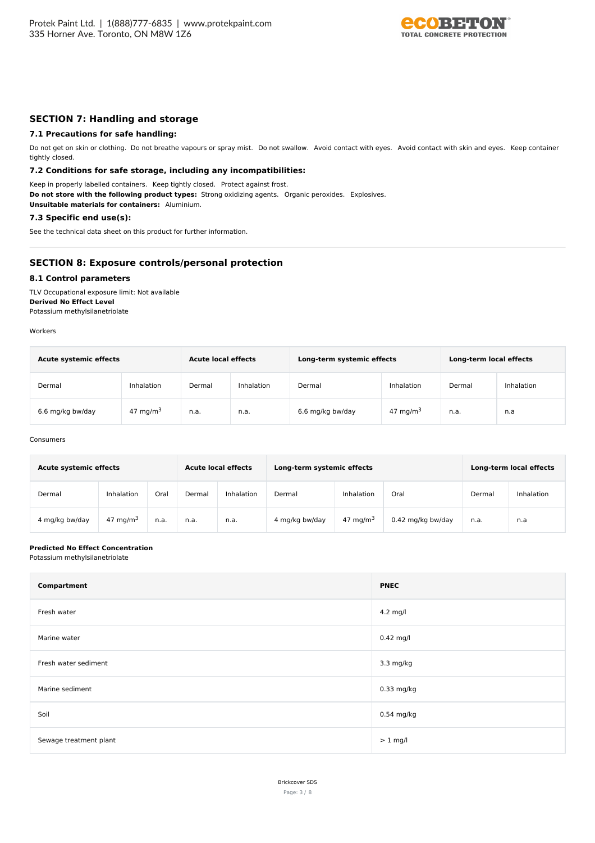

## **SECTION 7: Handling and storage**

### **7.1 Precautions for safe handling:**

Do not get on skin or clothing. Do not breathe vapours or spray mist. Do not swallow. Avoid contact with eyes. Avoid contact with skin and eyes. Keep container tightly closed.

### **7.2 Conditions for safe storage, including any incompatibilities:**

Keep in properly labelled containers. Keep tightly closed. Protect against frost. **Do not store with the following product types:** Strong oxidizing agents. Organic peroxides. Explosives. **Unsuitable materials for containers:** Aluminium.

## **7.3 Specific end use(s):**

See the technical data sheet on this product for further information.

## **SECTION 8: Exposure controls/personal protection**

#### **8.1 Control parameters**

TLV Occupational exposure limit: Not available **Derived No Effect Level** Potassium methylsilanetriolate

Workers

| <b>Acute systemic effects</b> |             | <b>Acute local effects</b> |            | Long-term systemic effects | Long-term local effects |        |            |
|-------------------------------|-------------|----------------------------|------------|----------------------------|-------------------------|--------|------------|
| Dermal                        | Inhalation  | Dermal                     | Inhalation | Dermal                     | Inhalation              | Dermal | Inhalation |
| 6.6 mg/kg bw/day              | 47 mg/m $3$ | n.a.                       | n.a.       | 6.6 mg/kg bw/day           | 47 mg/m $3$             | n.a.   | n.a        |

#### Consumers

| <b>Acute systemic effects</b> |             |      |        | <b>Acute local effects</b><br>Long-term systemic effects |                |             | Long-term local effects |        |            |
|-------------------------------|-------------|------|--------|----------------------------------------------------------|----------------|-------------|-------------------------|--------|------------|
| Dermal                        | Inhalation  | Oral | Dermal | Inhalation                                               | Dermal         | Inhalation  | Oral                    | Dermal | Inhalation |
| 4 mg/kg bw/day                | 47 mg/m $3$ | n.a. | n.a.   | n.a.                                                     | 4 mg/kg bw/day | 47 mg/m $3$ | 0.42 mg/kg bw/day       | n.a.   | n.a        |

#### **Predicted No Effect Concentration**

Potassium methylsilanetriolate

| Compartment            | <b>PNEC</b>  |
|------------------------|--------------|
| Fresh water            | 4.2 mg/l     |
| Marine water           | $0.42$ mg/l  |
| Fresh water sediment   | 3.3 mg/kg    |
| Marine sediment        | 0.33 mg/kg   |
| Soil                   | $0.54$ mg/kg |
| Sewage treatment plant | $> 1$ mg/l   |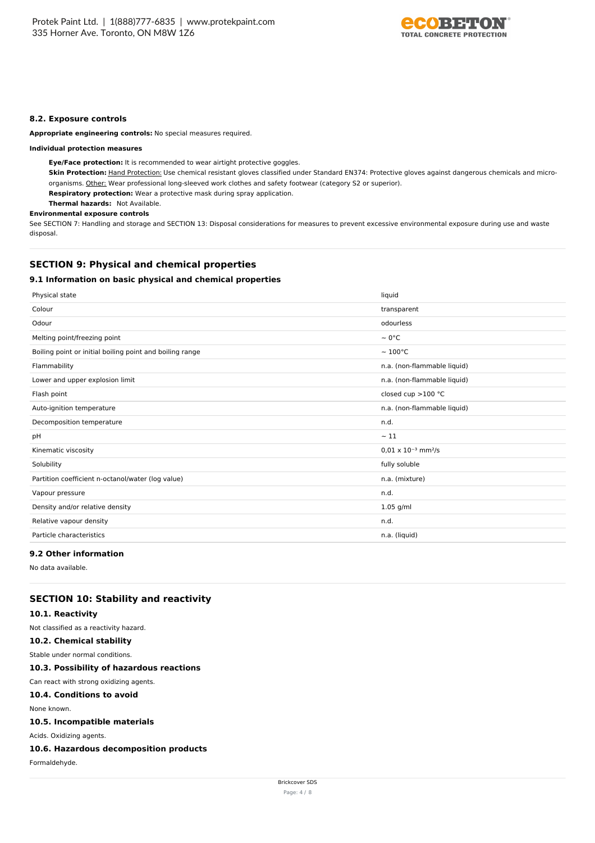

### **8.2. Exposure controls**

**Appropriate engineering controls:** No special measures required.

#### **Individual protection measures**

**Eye/Face protection:** It is recommended to wear airtight protective goggles.

Skin Protection: Hand Protection: Use chemical resistant gloves classified under Standard EN374: Protective gloves against dangerous chemicals and microorganisms. Other: Wear professional long-sleeved work clothes and safety footwear (category S2 or superior).

**Respiratory protection:** Wear a protective mask during spray application.

**Thermal hazards:** Not Available.

## **Environmental exposure controls**

See SECTION 7: Handling and storage and SECTION 13: Disposal considerations for measures to prevent excessive environmental exposure during use and waste disposal.

## **SECTION 9: Physical and chemical properties**

## **9.1 Information on basic physical and chemical properties**

| Physical state                                           | liquid                                   |
|----------------------------------------------------------|------------------------------------------|
| Colour                                                   | transparent                              |
| Odour                                                    | odourless                                |
| Melting point/freezing point                             | $\sim 0^{\circ}$ C                       |
| Boiling point or initial boiling point and boiling range | $\sim 100^{\circ}$ C                     |
| Flammability                                             | n.a. (non-flammable liquid)              |
| Lower and upper explosion limit                          | n.a. (non-flammable liquid)              |
| Flash point                                              | closed cup $>100$ °C                     |
| Auto-ignition temperature                                | n.a. (non-flammable liquid)              |
| Decomposition temperature                                | n.d.                                     |
| pH                                                       | $\sim$ 11                                |
| Kinematic viscosity                                      | $0.01 \times 10^{-3}$ mm <sup>2</sup> /s |
| Solubility                                               | fully soluble                            |
| Partition coefficient n-octanol/water (log value)        | n.a. (mixture)                           |
| Vapour pressure                                          | n.d.                                     |
| Density and/or relative density                          | $1.05$ g/ml                              |
| Relative vapour density                                  | n.d.                                     |
| Particle characteristics                                 | n.a. (liquid)                            |
|                                                          |                                          |

## **9.2 Other information**

No data available.

## **SECTION 10: Stability and reactivity**

#### **10.1. Reactivity**

Not classified as a reactivity hazard.

## **10.2. Chemical stability**

Stable under normal conditions.

**10.3. Possibility of hazardous reactions**

## Can react with strong oxidizing agents.

## **10.4. Conditions to avoid**

None known.

## **10.5. Incompatible materials**

Acids. Oxidizing agents.

### **10.6. Hazardous decomposition products**

Formaldehyde.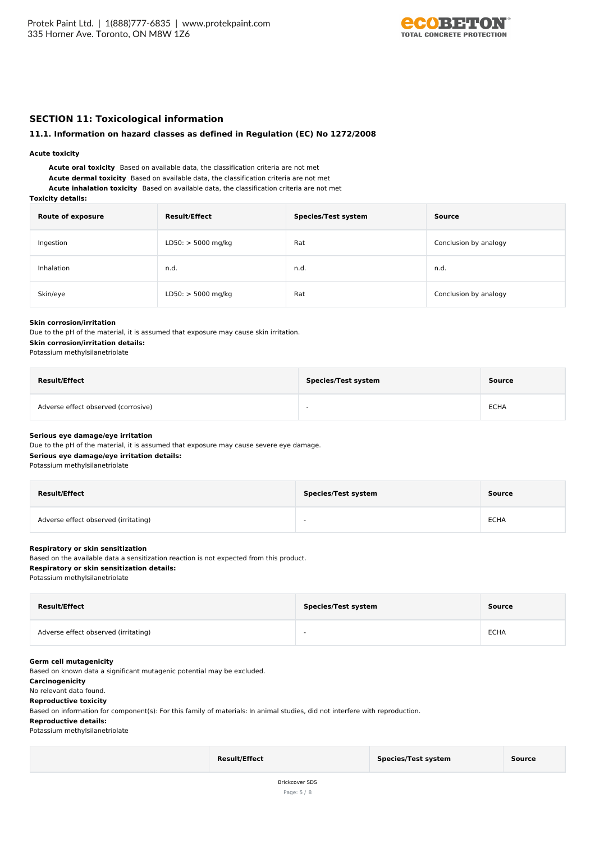

## **SECTION 11: Toxicological information**

#### **11.1. Information on hazard classes as defined in Regulation (EC) No 1272/2008**

#### **Acute toxicity**

**Acute oral toxicity** Based on available data, the classification criteria are not met **Acute dermal toxicity** Based on available data, the classification criteria are not met **Acute inhalation toxicity** Based on available data, the classification criteria are not met

#### **Toxicity details:**

| <b>Route of exposure</b> | <b>Result/Effect</b> | <b>Species/Test system</b> | Source                |
|--------------------------|----------------------|----------------------------|-----------------------|
| Ingestion                | $LD50:$ > 5000 mg/kg | Rat                        | Conclusion by analogy |
| Inhalation               | n.d.                 | n.d.                       | n.d.                  |
| Skin/eye                 | $LD50:$ > 5000 mg/kg | Rat                        | Conclusion by analogy |

#### **Skin corrosion/irritation**

Due to the pH of the material, it is assumed that exposure may cause skin irritation.

## **Skin corrosion/irritation details:**

Potassium methylsilanetriolate

| <b>Result/Effect</b>                | <b>Species/Test system</b> | Source      |
|-------------------------------------|----------------------------|-------------|
| Adverse effect observed (corrosive) | $\overline{\phantom{a}}$   | <b>ECHA</b> |

#### **Serious eye damage/eye irritation**

Due to the pH of the material, it is assumed that exposure may cause severe eye damage. **Serious eye damage/eye irritation details:** Potassium methylsilanetriolate

| <b>Result/Effect</b>                 | <b>Species/Test system</b> | Source      |
|--------------------------------------|----------------------------|-------------|
| Adverse effect observed (irritating) | $\sim$                     | <b>ECHA</b> |

#### **Respiratory or skin sensitization**

Based on the available data a sensitization reaction is not expected from this product.

## **Respiratory or skin sensitization details:**

Potassium methylsilanetriolate

| <b>Result/Effect</b>                 | <b>Species/Test system</b> | Source      |
|--------------------------------------|----------------------------|-------------|
| Adverse effect observed (irritating) | -                          | <b>ECHA</b> |

### **Germ cell mutagenicity**

Based on known data a significant mutagenic potential may be excluded.

#### **Carcinogenicity**

No relevant data found.

#### **Reproductive toxicity**

Based on information for component(s): For this family of materials: In animal studies, did not interfere with reproduction.

#### **Reproductive details:**

Potassium methylsilanetriolate

| <b>Result/Effect</b> | Species/Test system | Source |
|----------------------|---------------------|--------|
|                      |                     |        |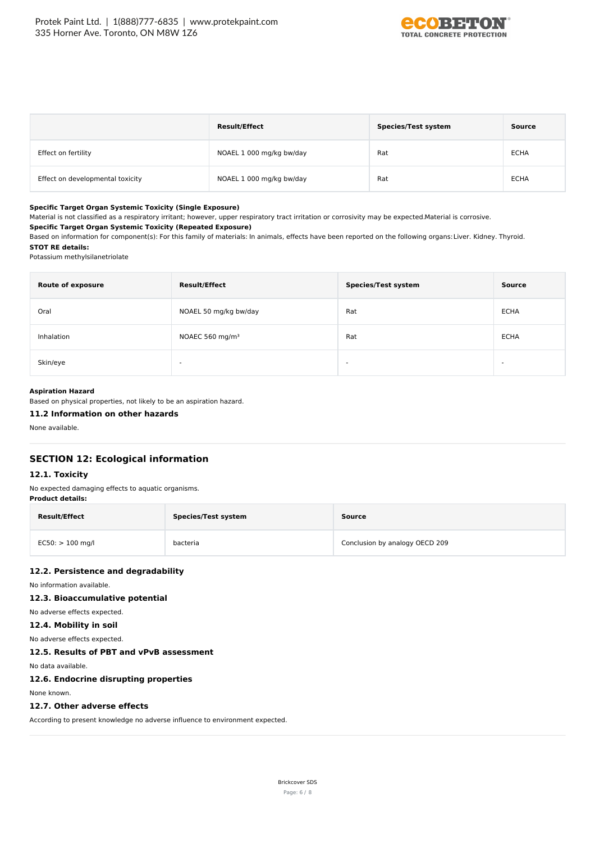

|                                  | <b>Result/Effect</b>     | <b>Species/Test system</b> | Source      |
|----------------------------------|--------------------------|----------------------------|-------------|
| Effect on fertility              | NOAEL 1 000 mg/kg bw/day | Rat                        | <b>ECHA</b> |
| Effect on developmental toxicity | NOAEL 1 000 mg/kg bw/day | Rat                        | <b>ECHA</b> |

#### **Specific Target Organ Systemic Toxicity (Single Exposure)**

Material is not classified as a respiratory irritant; however, upper respiratory tract irritation or corrosivity may be expected.Material is corrosive.

#### **Specific Target Organ Systemic Toxicity (Repeated Exposure)**

Based on information for component(s): For this family of materials: In animals, effects have been reported on the following organs:Liver. Kidney. Thyroid. **STOT RE details:**

#### Potassium methylsilanetriolate

| <b>Route of exposure</b> | <b>Result/Effect</b>        | <b>Species/Test system</b> | Source      |
|--------------------------|-----------------------------|----------------------------|-------------|
| Oral                     | NOAEL 50 mg/kg bw/day       | Rat                        | <b>ECHA</b> |
| Inhalation               | NOAEC 560 mg/m <sup>3</sup> | Rat                        | <b>ECHA</b> |
| Skin/eye                 | $\overline{\phantom{0}}$    | $\sim$                     | -           |

### **Aspiration Hazard**

Based on physical properties, not likely to be an aspiration hazard.

#### **11.2 Information on other hazards**

None available.

## **SECTION 12: Ecological information**

#### **12.1. Toxicity**

No expected damaging effects to aquatic organisms. **Product details:**

| <b>Result/Effect</b> | <b>Species/Test system</b> | Source                         |
|----------------------|----------------------------|--------------------------------|
| $EC50:$ > 100 mg/l   | bacteria                   | Conclusion by analogy OECD 209 |

### **12.2. Persistence and degradability**

No information available.

### **12.3. Bioaccumulative potential**

## No adverse effects expected.

**12.4. Mobility in soil**

No adverse effects expected.

## **12.5. Results of PBT and vPvB assessment**

No data available.

#### **12.6. Endocrine disrupting properties**

None known.

## **12.7. Other adverse effects**

According to present knowledge no adverse influence to environment expected.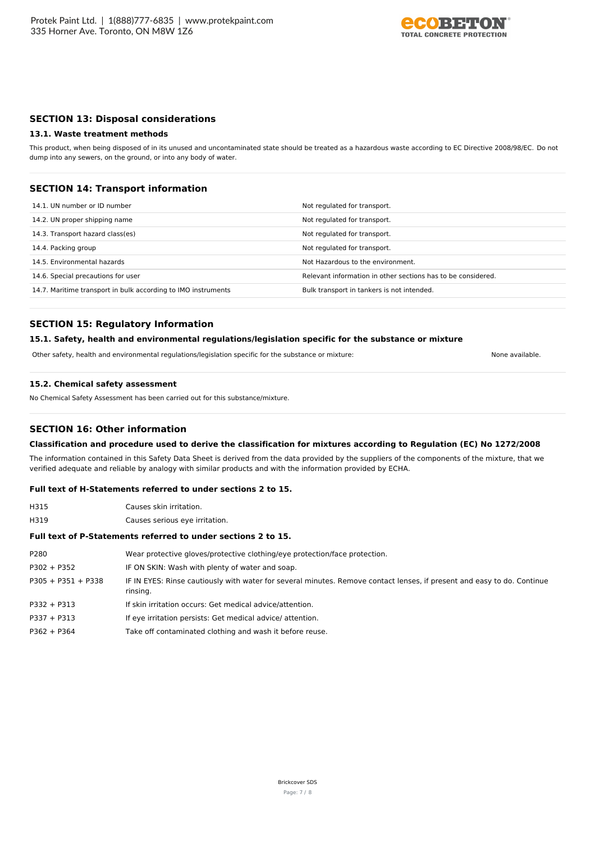

## **SECTION 13: Disposal considerations**

#### **13.1. Waste treatment methods**

This product, when being disposed of in its unused and uncontaminated state should be treated as a hazardous waste according to EC Directive 2008/98/EC. Do not dump into any sewers, on the ground, or into any body of water.

### **SECTION 14: Transport information**

| 14.1. UN number or ID number                                  | Not regulated for transport.                                 |
|---------------------------------------------------------------|--------------------------------------------------------------|
| 14.2. UN proper shipping name                                 | Not regulated for transport.                                 |
| 14.3. Transport hazard class(es)                              | Not regulated for transport.                                 |
| 14.4. Packing group                                           | Not regulated for transport.                                 |
| 14.5. Environmental hazards                                   | Not Hazardous to the environment.                            |
| 14.6. Special precautions for user                            | Relevant information in other sections has to be considered. |
| 14.7. Maritime transport in bulk according to IMO instruments | Bulk transport in tankers is not intended.                   |

## **SECTION 15: Regulatory Information**

#### **15.1. Safety, health and environmental regulations/legislation specific for the substance or mixture**

Other safety, health and environmental regulations/legislation specific for the substance or mixture: None available.

#### **15.2. Chemical safety assessment**

No Chemical Safety Assessment has been carried out for this substance/mixture.

## **SECTION 16: Other information**

### **Classification and procedure used to derive the classification for mixtures according to Regulation (EC) No 1272/2008**

The information contained in this Safety Data Sheet is derived from the data provided by the suppliers of the components of the mixture, that we verified adequate and reliable by analogy with similar products and with the information provided by ECHA.

#### **Full text of H-Statements referred to under sections 2 to 15.**

H315 Causes skin irritation. H319 Causes serious eye irritation.

### **Full text of P-Statements referred to under sections 2 to 15.**

| P280                 | Wear protective gloves/protective clothing/eye protection/face protection.                                                          |
|----------------------|-------------------------------------------------------------------------------------------------------------------------------------|
| $P302 + P352$        | IF ON SKIN: Wash with plenty of water and soap.                                                                                     |
| $P305 + P351 + P338$ | IF IN EYES: Rinse cautiously with water for several minutes. Remove contact lenses, if present and easy to do. Continue<br>rinsing. |
| $P332 + P313$        | If skin irritation occurs: Get medical advice/attention.                                                                            |
| $P337 + P313$        | If eye irritation persists: Get medical advice/attention.                                                                           |
| $P362 + P364$        | Take off contaminated clothing and wash it before reuse.                                                                            |